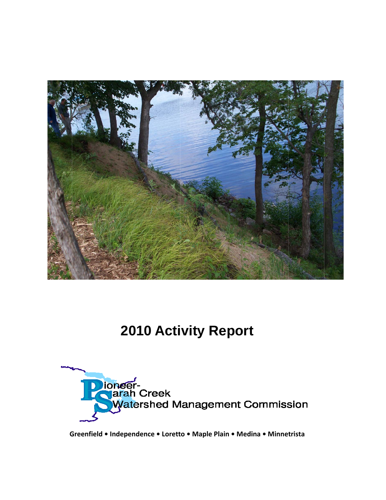

## **2010 Activity Report**



Greenfield • Independence • Loretto • Maple Plain • Medina • Minnetrista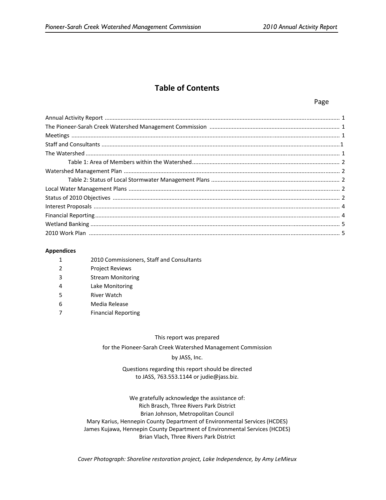### **Table of Contents**

#### Page

#### **Appendices**

| 2010 Commissioners, Staff and Consultants |
|-------------------------------------------|
|                                           |

- 2 Project Reviews
- 3 Stream Monitoring
- 4 Lake Monitoring
- 5 River Watch
- 6 Media Release
- 7 Financial Reporting

This report was prepared

for the Pioneer‐Sarah Creek Watershed Management Commission

#### by JASS, Inc.

#### Questions regarding this report should be directed to JASS, 763.553.1144 or judie@jass.biz.

We gratefully acknowledge the assistance of: Rich Brasch, Three Rivers Park District Brian Johnson, Metropolitan Council Mary Karius, Hennepin County Department of Environmental Services (HCDES) James Kujawa, Hennepin County Department of Environmental Services (HCDES) Brian Vlach, Three Rivers Park District

*Cover Photograph: Shoreline restoration project, Lake Independence, by Amy LeMieux*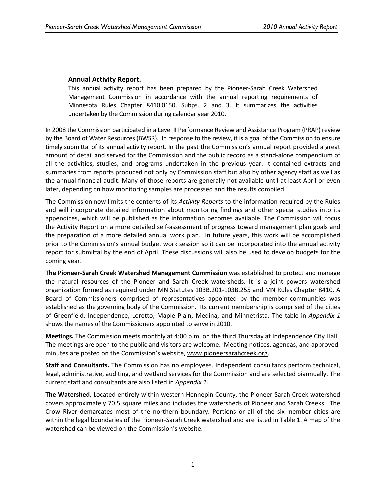### **Annual Activity Report.**

This annual activity report has been prepared by the Pioneer‐Sarah Creek Watershed Management Commission in accordance with the annual reporting requirements of Minnesota Rules Chapter 8410.0150, Subps. 2 and 3. It summarizes the activities undertaken by the Commission during calendar year 2010.

In 2008 the Commission participated in a Level II Performance Review and Assistance Program (PRAP) review by the Board of Water Resources (BWSR). In response to the review, it is a goal of the Commission to ensure timely submittal of its annual activity report. In the past the Commission's annual report provided a great amount of detail and served for the Commission and the public record as a stand‐alone compendium of all the activities, studies, and programs undertaken in the previous year. It contained extracts and summaries from reports produced not only by Commission staff but also by other agency staff as well as the annual financial audit. Many of those reports are generally not available until at least April or even later, depending on how monitoring samples are processed and the results compiled.

The Commission now limits the contents of its *Activity Reports* to the information required by the Rules and will incorporate detailed information about monitoring findings and other special studies into its appendices, which will be published as the information becomes available. The Commission will focus the Activity Report on a more detailed self‐assessment of progress toward management plan goals and the preparation of a more detailed annual work plan. In future years, this work will be accomplished prior to the Commission's annual budget work session so it can be incorporated into the annual activity report for submittal by the end of April. These discussions will also be used to develop budgets for the coming year.

**The Pioneer‐Sarah Creek Watershed Management Commission** was established to protect and manage the natural resources of the Pioneer and Sarah Creek watersheds. It is a joint powers watershed organization formed as required under MN Statutes 103B.201‐103B.255 and MN Rules Chapter 8410. A Board of Commissioners comprised of representatives appointed by the member communities was established as the governing body of the Commission. Its current membership is comprised of the cities of Greenfield, Independence, Loretto, Maple Plain, Medina, and Minnetrista. The table in *Appendix 1* shows the names of the Commissioners appointed to serve in 2010.

**Meetings.** The Commission meets monthly at 4:00 p.m. on the third Thursday at Independence City Hall. The meetings are open to the public and visitors are welcome. Meeting notices, agendas, and approved minutes are posted on the Commission's website, www.pioneersarahcreek.org.

**Staff and Consultants.** The Commission has no employees. Independent consultants perform technical, legal, administrative, auditing, and wetland services for the Commission and are selected biannually. The current staff and consultants are also listed in *Appendix 1.*

**The Watershed.** Located entirely within western Hennepin County, the Pioneer‐Sarah Creek watershed covers approximately 70.5 square miles and includes the watersheds of Pioneer and Sarah Creeks. The Crow River demarcates most of the northern boundary. Portions or all of the six member cities are within the legal boundaries of the Pioneer-Sarah Creek watershed and are listed in Table 1. A map of the watershed can be viewed on the Commission's website.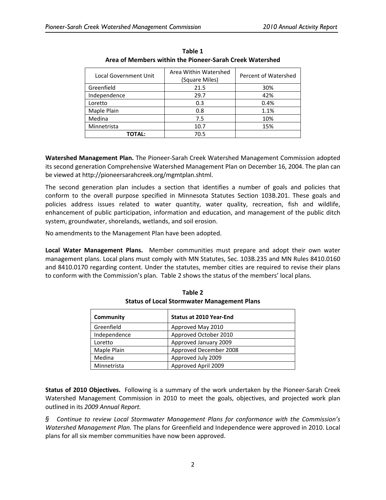| Local Government Unit | Area Within Watershed<br>(Square Miles) | Percent of Watershed |
|-----------------------|-----------------------------------------|----------------------|
| Greenfield            | 21.5                                    | 30%                  |
| Independence          | 29.7                                    | 42%                  |
| Loretto               | 0.3                                     | 0.4%                 |
| Maple Plain           | 0.8                                     | 1.1%                 |
| Medina                | 7.5                                     | 10%                  |
| Minnetrista           | 10.7                                    | 15%                  |
| TOTAL:                | 70.5                                    |                      |

**Table 1 Area of Members within the Pioneer‐Sarah Creek Watershed**

**Watershed Management Plan.** The Pioneer‐Sarah Creek Watershed Management Commission adopted its second generation Comprehensive Watershed Management Plan on December 16, 2004. The plan can be viewed at http://pioneersarahcreek.org/mgmtplan.shtml.

The second generation plan includes a section that identifies a number of goals and policies that conform to the overall purpose specified in Minnesota Statutes Section 103B.201. These goals and policies address issues related to water quantity, water quality, recreation, fish and wildlife, enhancement of public participation, information and education, and management of the public ditch system, groundwater, shorelands, wetlands, and soil erosion.

No amendments to the Management Plan have been adopted.

**Local Water Management Plans.**  Member communities must prepare and adopt their own water management plans. Local plans must comply with MN Statutes, Sec. 103B.235 and MN Rules 8410.0160 and 8410.0170 regarding content. Under the statutes, member cities are required to revise their plans to conform with the Commission's plan. Table 2 shows the status of the members' local plans.

| Community    | <b>Status at 2010 Year-End</b> |
|--------------|--------------------------------|
| Greenfield   | Approved May 2010              |
| Independence | Approved October 2010          |
| Loretto      | Approved January 2009          |
| Maple Plain  | Approved December 2008         |
| Medina       | Approved July 2009             |
| Minnetrista  | Approved April 2009            |

**Table 2 Status of Local Stormwater Management Plans**

**Status of 2010 Objectives.** Following is a summary of the work undertaken by the Pioneer‐Sarah Creek Watershed Management Commission in 2010 to meet the goals, objectives, and projected work plan outlined in its *2009 Annual Report.*

*§ Continue to review Local Stormwater Management Plans for conformance with the Commission's Watershed Management Plan.* The plans for Greenfield and Independence were approved in 2010. Local plans for all six member communities have now been approved.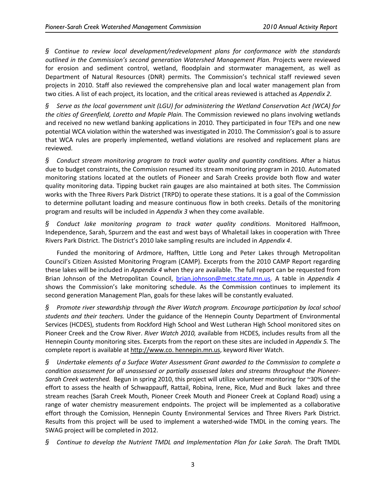*§ Continue to review local development/redevelopment plans for conformance with the standards outlined in the Commission's second generation Watershed Management Plan.* Projects were reviewed for erosion and sediment control, wetland, floodplain and stormwater management, as well as Department of Natural Resources (DNR) permits. The Commission's technical staff reviewed seven projects in 2010. Staff also reviewed the comprehensive plan and local water management plan from two cities. A list of each project, its location, and the critical areas reviewed is attached as *Appendix 2.*

*§ Serve as the local government unit (LGU) for administering the Wetland Conservation Act (WCA) for the cities of Greenfield, Loretto and Maple Plain.* The Commission reviewed no plans involving wetlands and received no new wetland banking applications in 2010. They participated in four TEPs and one new potential WCA violation within the watershed was investigated in 2010. The Commission's goal is to assure that WCA rules are properly implemented, wetland violations are resolved and replacement plans are reviewed.

*§ Conduct stream monitoring program to track water quality and quantity conditions.* After a hiatus due to budget constraints, the Commission resumed its stream monitoring program in 2010. Automated monitoring stations located at the outlets of Pioneer and Sarah Creeks provide both flow and water quality monitoring data. Tipping bucket rain gauges are also maintained at both sites. The Commission works with the Three Rivers Park District (TRPD) to operate these stations. It is a goal of the Commission to determine pollutant loading and measure continuous flow in both creeks. Details of the monitoring program and results will be included in *Appendix 3* when they come available.

*§ Conduct lake monitoring program to track water quality conditions.* Monitored Halfmoon, Independence, Sarah, Spurzem and the east and west bays of Whaletail lakes in cooperation with Three Rivers Park District. The District's 2010 lake sampling results are included in *Appendix 4*.

Funded the monitoring of Ardmore, Hafften, Little Long and Peter Lakes through Metropolitan Council's Citizen Assisted Monitoring Program (CAMP). Excerpts from the 2010 CAMP Report regarding these lakes will be included in *Appendix 4* when they are available. The full report can be requested from Brian Johnson of the Metropolitan Council, brian.johnson@metc.state.mn.us. A table in *Appendix 4* shows the Commission's lake monitoring schedule. As the Commission continues to implement its second generation Management Plan, goals for these lakes will be constantly evaluated.

*§ Promote river stewardship through the River Watch program. Encourage participation by local school students and their teachers.* Under the guidance of the Hennepin County Department of Environmental Services (HCDES), students from Rockford High School and West Lutheran High School monitored sites on Pioneer Creek and the Crow River. *River Watch 2010,* available from HCDES, includes results from all the Hennepin County monitoring sites. Excerpts from the report on these sites are included in *Appendix 5.* The complete report is available at http://www.co. hennepin.mn.us, keyword River Watch.

*§ Undertake elements of a Surface Water Assessment Grant awarded to the Commission to complete a condition assessment for all unassessed or partially asssessed lakes and streams throughout the Pioneer‐ Sarah Creek watershed.* Begun in spring 2010, this project will utilize volunteer monitoring for ~30% of the effort to assess the health of Schwappauff, Rattail, Robina, Irene, Rice, Mud and Buck lakes and three stream reaches (Sarah Creek Mouth, Pioneer Creek Mouth and Pioneer Creek at Copland Road) using a range of water chemistry measurement endpoints. The project will be implemented as a collaborative effort through the Comission, Hennepin County Environmental Services and Three Rivers Park District. Results from this project will be used to implement a watershed‐wide TMDL in the coming years. The SWAG project will be completed in 2012.

*§ Continue to develop the Nutrient TMDL and Implementation Plan for Lake Sarah.* The Draft TMDL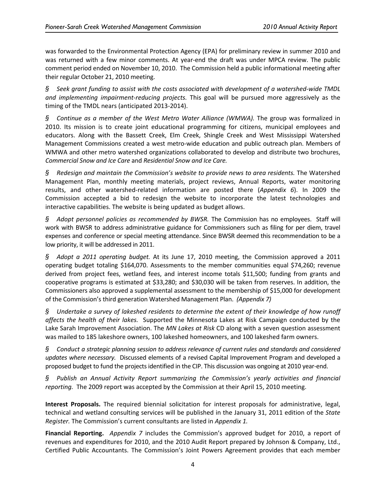was forwarded to the Environmental Protection Agency (EPA) for preliminary review in summer 2010 and was returned with a few minor comments. At year-end the draft was under MPCA review. The public comment period ended on November 10, 2010. The Commission held a public informational meeting after their regular October 21, 2010 meeting.

*§ Seek grant funding to assist with the costs associated with development of a watershed‐wide TMDL and implementing impairment‐reducing projects.* This goal will be pursued more aggressively as the timing of the TMDL nears (anticipated 2013‐2014).

*§ Continue as a member of the West Metro Water Alliance (WMWA).* The group was formalized in 2010. Its mission is to create joint educational programming for citizens, municipal employees and educators. Along with the Bassett Creek, Elm Creek, Shingle Creek and West Mississippi Watershed Management Commissions created a west metro-wide education and public outreach plan. Members of WMWA and other metro watershed organizations collaborated to develop and distribute two brochures, *Commercial Snow and Ice Care* and *Residential Snow and Ice Care.*

*§ Redesign and maintain the Commission's website to provide news to area residents.* The Watershed Management Plan, monthly meeting materials, project reviews, Annual Reports, water monitoring results, and other watershed‐related information are posted there (*Appendix 6*). In 2009 the Commission accepted a bid to redesign the website to incorporate the latest technologies and interactive capabilities. The website is being updated as budget allows.

*§ Adopt personnel policies as recommended by BWSR.* The Commission has no employees. Staff will work with BWSR to address administrative guidance for Commissioners such as filing for per diem, travel expenses and conference or special meeting attendance. Since BWSR deemed this recommendation to be a low priority, it will be addressed in 2011.

*§ Adopt a 2011 operating budget.* At its June 17, 2010 meeting, the Commission approved a 2011 operating budget totaling \$164,070. Assessments to the member communities equal \$74,260; revenue derived from project fees, wetland fees, and interest income totals \$11,500; funding from grants and cooperative programs is estimated at \$33,280; and \$30,030 will be taken from reserves. In addition, the Commissioners also approved a supplemental assessment to the membership of \$15,000 for development of the Commission's third generation Watershed Management Plan. *(Appendix 7)*

*§ Undertake a survey of lakeshed residents to determine the extent of their knowledge of how runoff affects the health of their lakes.* Supported the Minnesota Lakes at Risk Campaign conducted by the Lake Sarah Improvement Association. The *MN Lakes at Risk* CD along with a seven question assessment was mailed to 185 lakeshore owners, 100 lakeshed homeowners, and 100 lakeshed farm owners.

*§ Conduct a strategic planning session to address relevance of current rules and standards and considered updates where necessary.* Discussed elements of a revised Capital Improvement Program and developed a proposed budget to fund the projectsidentified in the CIP. This discussion was ongoing at 2010 year‐end.

*§ Publish an Annual Activity Report summarizing the Commission's yearly activities and financial reporting.* The 2009 report was accepted by the Commission at their April 15, 2010 meeting.

**Interest Proposals.** The required biennial solicitation for interest proposals for administrative, legal, technical and wetland consulting services will be published in the January 31, 2011 edition of the *State Register.* The Commission's current consultants are listed in *Appendix 1.*

**Financial Reporting.**  *Appendix 7* includes the Commission's approved budget for 2010, a report of revenues and expenditures for 2010, and the 2010 Audit Report prepared by Johnson & Company, Ltd., Certified Public Accountants. The Commission's Joint Powers Agreement provides that each member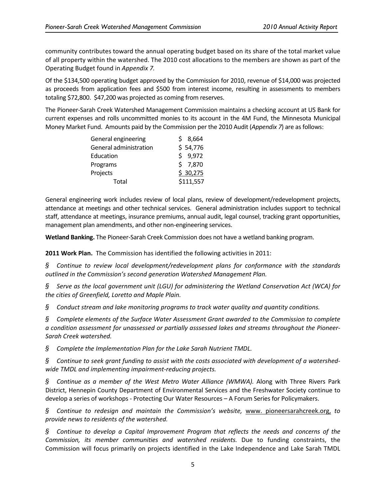community contributes toward the annual operating budget based on its share of the total market value of all property within the watershed. The 2010 cost allocations to the members are shown as part of the Operating Budget found in *Appendix 7.*

Of the \$134,500 operating budget approved by the Commission for 2010, revenue of \$14,000 was projected as proceeds from application fees and \$500 from interest income, resulting in assessments to members totaling \$72,800. \$47,200 was projected as coming from reserves.

The Pioneer‐Sarah Creek Watershed Management Commission maintains a checking account at US Bank for current expenses and rolls uncommitted monies to its account in the 4M Fund, the Minnesota Municipal Money Market Fund. Amounts paid by the Commission per the 2010 Audit (*Appendix 7*) are asfollows:

| General engineering    | \$8,664   |
|------------------------|-----------|
| General administration | \$54,776  |
| Education              | \$9,972   |
| Programs               | \$7,870   |
| Projects               | \$30,275  |
| Total                  | \$111,557 |

General engineering work includes review of local plans, review of development/redevelopment projects, attendance at meetings and other technical services. General administration includes support to technical staff, attendance at meetings, insurance premiums, annual audit, legal counsel, tracking grant opportunities, management plan amendments, and other non‐engineering services.

**Wetland Banking.** The Pioneer‐Sarah Creek Commission does not have a wetland banking program.

**2011 Work Plan.** The Commission has identified the following activities in 2011:

*§ Continue to review local development/redevelopment plans for conformance with the standards outlined in the Commission's second generation Watershed Management Plan.*

*§ Serve as the local government unit (LGU) for administering the Wetland Conservation Act (WCA) for the cities of Greenfield, Loretto and Maple Plain.*

*§ Conduct stream and lake monitoring programs to track water quality and quantity conditions.*

*§ Complete elements of the Surface Water Assessment Grant awarded to the Commission to complete a condition assessment for unassessed or partially asssessed lakes and streams throughout the Pioneer‐ Sarah Creek watershed.*

*§ Complete the Implementation Plan for the Lake Sarah Nutrient TMDL.*

 $S$  Continue to seek grant funding to assist with the costs associated with development of a watershed*wide TMDL and implementing impairment‐reducing projects.*

*§ Continue as a member of the West Metro Water Alliance (WMWA).* Along with Three Rivers Park District, Hennepin County Department of Environmental Services and the Freshwater Society continue to develop a series of workshops ‐ Protecting Our Water Resources – A Forum Series for Policymakers.

*§ Continue to redesign and maintain the Commission's website,* www. pioneersarahcreek.org, *to provide news to residents of the watershed.*

*§ Continue to develop a Capital Improvement Program that reflects the needs and concerns of the Commission, its member communities and watershed residents.* Due to funding constraints, the Commission will focus primarily on projects identified in the Lake Independence and Lake Sarah TMDL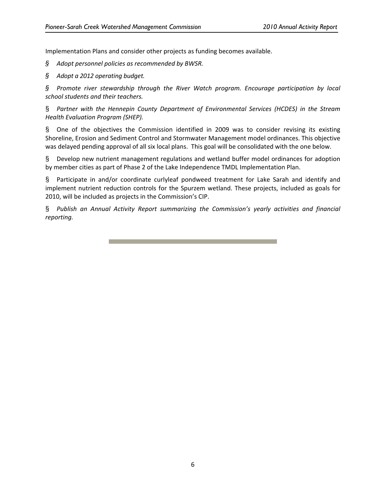Implementation Plans and consider other projects as funding becomes available.

*§ Adopt personnel policies as recommended by BWSR.*

*§ Adopt a 2012 operating budget.*

*§ Promote river stewardship through the River Watch program. Encourage participation by local school students and their teachers.*

§ *Partner with the Hennepin County Department of Environmental Services (HCDES) in the Stream Health Evaluation Program (SHEP).*

§ One of the objectives the Commission identified in 2009 was to consider revising its existing Shoreline, Erosion and Sediment Control and Stormwater Management model ordinances. This objective was delayed pending approval of all six local plans. This goal will be consolidated with the one below.

§ Develop new nutrient management regulations and wetland buffer model ordinances for adoption by member cities as part of Phase 2 of the Lake Independence TMDL Implementation Plan.

§ Participate in and/or coordinate curlyleaf pondweed treatment for Lake Sarah and identify and implement nutrient reduction controls for the Spurzem wetland. These projects, included as goals for 2010, will be included as projects in the Commission's CIP.

§ *Publish an Annual Activity Report summarizing the Commission's yearly activities and financial reporting.*